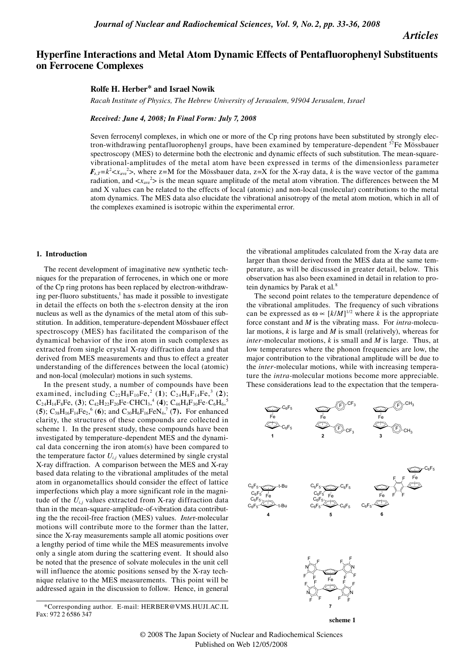*Articles*

# **Hyperfine Interactions and Metal Atom Dynamic Effects of Pentafluorophenyl Substituents on Ferrocene Complexes**

## **Rolfe H. Herber\* and Israel Nowik**

*Racah Institute of Physics, The Hebrew University of Jerusalem, 91904 Jerusalem, Israel*

*Received: June 4, 2008; In Final Form: July 7, 2008*

Seven ferrocenyl complexes, in which one or more of the Cp ring protons have been substituted by strongly electron-withdrawing pentafluorophenyl groups, have been examined by temperature-dependent <sup>57</sup>Fe Mössbauer spectroscopy (MES) to determine both the electronic and dynamic effects of such substitution. The mean-squarevibrational-amplitudes of the metal atom have been expressed in terms of the dimensionless parameter  $F_{z,T} = k^2 < x_{\text{ave}}^2$ , where z=M for the Mössbauer data, z=X for the X-ray data, *k* is the wave vector of the gamma radiation, and  $\langle x_{\text{ave}}^2 \rangle$  is the mean square amplitude of the metal atom vibration. The differences between the M and X values can be related to the effects of local (atomic) and non-local (molecular) contributions to the metal atom dynamics. The MES data also elucidate the vibrational anisotropy of the metal atom motion, which in all of the complexes examined is isotropic within the experimental error.

### **1. Introduction**

The recent development of imaginative new synthetic techniques for the preparation of ferrocenes, in which one or more of the Cp ring protons has been replaced by electron-withdrawing per-fluoro substituents,<sup>1</sup> has made it possible to investigate in detail the effects on both the s-electron density at the iron nucleus as well as the dynamics of the metal atom of this substitution. In addition, temperature-dependent Mössbauer effect spectroscopy (MES) has facilitated the comparison of the dynamical behavior of the iron atom in such complexes as extracted from single crystal X-ray diffraction data and that derived from MES measurements and thus to effect a greater understanding of the differences between the local (atomic) and non-local (molecular) motions in such systems.

In the present study, a number of compounds have been examined, including  $C_{22}H_8F_{10}Fe^{2}$  (1);  $C_{24}H_8F_{14}Fe^{3}$  (2);  $C_{24}H_{14}F_8Fe$ , (3);  $C_{42}H_{22}F_{20}Fe \cdot CHCl_3$ <sup>4</sup> (4);  $C_{46}H_4F_{30}Fe \cdot C_6H_6$ <sup>5</sup> (5);  $C_{38}H_{16}F_{14}Fe_2$ , <sup>6</sup> (6); and  $C_{30}H_{6}F_{16}FeN_4$ , <sup>7</sup> (7). For enhanced clarity, the structures of these compounds are collected in scheme 1. In the present study, these compounds have been investigated by temperature-dependent MES and the dynamical data concerning the iron atom(s) have been compared to the temperature factor  $U_{i,j}$  values determined by single crystal X-ray diffraction. A comparison between the MES and X-ray based data relating to the vibrational amplitudes of the metal atom in organometallics should consider the effect of lattice imperfections which play a more significant role in the magnitude of the  $U_{i,j}$  values extracted from X-ray diffraction data than in the mean-square-amplitude-of-vibration data contributing the the recoil-free fraction (MES) values. *Inte*r-molecular motions will contribute more to the former than the latter, since the X-ray measurements sample all atomic positions over a lengthy period of time while the MES measurements involve only a single atom during the scattering event. It should also be noted that the presence of solvate molecules in the unit cell will influence the atomic positions sensed by the X-ray technique relative to the MES measurements. This point will be addressed again in the discussion to follow. Hence, in general

the vibrational amplitudes calculated from the X-ray data are larger than those derived from the MES data at the same temperature, as will be discussed in greater detail, below. This observation has also been examined in detail in relation to protein dynamics by Parak et al*.* 8

The second point relates to the temperature dependence of the vibrational amplitudes. The frequency of such vibrations can be expressed as  $\omega \propto [k/M]^{1/2}$  where *k* is the appropriate force constant and *M* is the vibrating mass. For *intra*-molecular motions, *k* is large and *M* is small (relatively), whereas for *inter*-molecular motions, *k* is small and *M* is large. Thus, at low temperatures where the phonon frequencies are low, the major contribution to the vibrational amplitude will be due to the *inter*-molecular motions, while with increasing temperature the *intra*-molecular motions become more appreciable. These considerations lead to the expectation that the tempera-





<sup>\*</sup>Corresponding author. E-mail: HERBER@VMS.HUJI.AC.IL Fax: 972 2 6586 347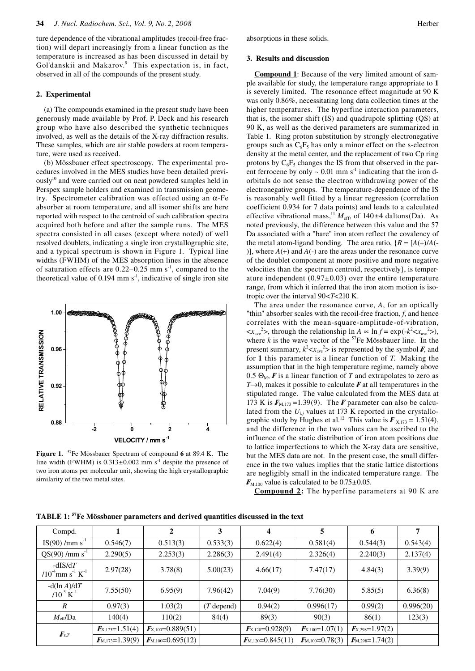ture dependence of the vibrational amplitudes (recoil-free fraction) will depart increasingly from a linear function as the temperature is increased as has been discussed in detail by Gol'danskii and Makarov.<sup>9</sup> This expectation is, in fact, observed in all of the compounds of the present study.

## **2. Experimental**

(a) The compounds examined in the present study have been generously made available by Prof. P. Deck and his research group who have also described the synthetic techniques involved, as well as the details of the X-ray diffraction results. These samples, which are air stable powders at room temperature, were used as received.

(b) Mössbauer effect spectroscopy. The experimental procedures involved in the MES studies have been detailed previously10 and were carried out on neat powdered samples held in Perspex sample holders and examined in transmission geometry. Spectrometer calibration was effected using an α-Fe absorber at room temperature, and all isomer shifts are here reported with respect to the centroid of such calibration spectra acquired both before and after the sample runs. The MES spectra consisted in all cases (except where noted) of well resolved doublets, indicating a single iron crystallographic site, and a typical spectrum is shown in Figure 1. Typical line widths (FWHM) of the MES absorption lines in the absence of saturation effects are  $0.22-0.25$  mm s<sup>-1</sup>, compared to the theoretical value of  $0.194$  mm s<sup>-1</sup>, indicative of single iron site



**Figure 1.** 57Fe Mössbauer Spectrum of compound **6** at 89.4 K. The line width (FWHM) is  $0.313 \pm 0.002$  mm s<sup>-1</sup> despite the presence of two iron atoms per molecular unit, showing the high crystallographic similarity of the two metal sites.

absorptions in these solids.

## **3. Results and discussion**

**Compound 1**: Because of the very limited amount of sample available for study, the temperature range appropriate to **1** is severely limited. The resonance effect magnitude at 90 K was only 0.86%, necessitating long data collection times at the higher temperatures. The hyperfine interaction parameters, that is, the isomer shift (IS) and quadrupole splitting (QS) at 90 K, as well as the derived parameters are summarized in Table 1. Ring proton substitution by strongly electronegative groups such as  $C_6F_5$  has only a minor effect on the s-electron density at the metal center, and the replacement of two Cp ring protons by  $C_6F_5$  changes the IS from that observed in the parent ferrocene by only  $\sim 0.01$  mm s<sup>-1</sup> indicating that the iron dorbitals do not sense the electron withdrawing power of the electronegative groups. The temperature-dependence of the IS is reasonably well fitted by a linear regression (correlation coefficient 0.934 for 7 data points) and leads to a calculated effective vibrational mass,<sup>11</sup>  $M_{\text{eff}}$ , of 140 $\pm$ 4 daltons(Da). As noted previously, the difference between this value and the 57 Da associated with a "bare" iron atom reflect the covalency of the metal atom-ligand bonding. The area ratio,  ${R = [A(+)}/A(-)$ )], where  $A(+)$  and  $A(-)$  are the areas under the resonance curve of the doublet component at more positive and more negative velocities than the spectrum centroid, respectively}, is temperature independent  $(0.97\pm0.03)$  over the entire temperature range, from which it inferred that the iron atom motion is isotropic over the interval 90<*T*<210 K.

The area under the resonance curve, *A*, for an optically "thin" absorber scales with the recoil-free fraction, *f*, and hence correlates with the mean-square-amplitude-of-vibration,  $\langle x_{\text{ave}}^2 \rangle$ , through the relationship  $\ln A \propto \ln f = \exp(-k^2 \langle x_{\text{ave}}^2 \rangle)$ , where  $k$  is the wave vector of the  $57$ Fe Mössbauer line. In the present summary,  $k^2 < x_{ave}^2$  is represented by the symbol *F*, and for **1** this parameter is a linear function of *T*. Making the assumption that in the high temperature regime, namely above 0.5  $\Theta_{\text{M}}$ , **F** is a linear function of T and extrapolates to zero as *T*→0, makes it possible to calculate *F* at all temperatures in the stipulated range. The value calculated from the MES data at 173 K is  $F_{M,173}$  = 1.39(9). The *F* parameter can also be calculated from the  $U_{i,j}$  values at 173 K reported in the crystallographic study by Hughes et al.<sup>12</sup> This value is  $\mathbf{F}_{\text{X,173}} = 1.51(4)$ , and the difference in the two values can be ascribed to the influence of the static distribution of iron atom positions due to lattice imperfections to which the X-ray data are sensitive, but the MES data are not. In the present case, the small difference in the two values implies that the static lattice distortions are negligibly small in the indicated temperature range. The  $F_{\text{M},100}$  value is calculated to be  $0.75\pm0.05$ .

**Compound 2:** The hyperfine parameters at 90 K are

| Compd.                                                    |                     | 2                     | 3            | 4                     | 5                     | 6                                     | 7         |
|-----------------------------------------------------------|---------------------|-----------------------|--------------|-----------------------|-----------------------|---------------------------------------|-----------|
| $IS(90) / mm s-1$                                         | 0.546(7)            | 0.513(3)              | 0.533(3)     | 0.622(4)              | 0.581(4)              | 0.544(3)                              | 0.543(4)  |
| $QS(90) / mm s^{-1}$                                      | 2.290(5)            | 2.253(3)              | 2.286(3)     | 2.491(4)              | 2.326(4)              | 2.240(3)                              | 2.137(4)  |
| $-dIS/dT$<br>$/10^{4}$ mm s <sup>-1</sup> K <sup>-1</sup> | 2.97(28)            | 3.78(8)               | 5.00(23)     | 4.66(17)              | 7.47(17)              | 4.84(3)                               | 3.39(9)   |
| $-d(\ln A)/dT$<br>$/10^{-3}$ K <sup>-1</sup>              | 7.55(50)            | 6.95(9)               | 7.96(42)     | 7.04(9)               | 7.76(30)              | 5.85(5)                               | 6.36(8)   |
| $\boldsymbol{R}$                                          | 0.97(3)             | 1.03(2)               | $(T$ depend) | 0.94(2)               | 0.996(17)             | 0.99(2)                               | 0.996(20) |
| $M_{\text{eff}}/\text{Da}$                                | 140(4)              | 110(2)                | 84(4)        | 89(3)                 | 90(3)                 | 86(1)                                 | 123(3)    |
| $\mathbf{F}_{\text{z,T}}$                                 | $F_{X,173}=1.51(4)$ | $F_{X,100}=0.889(51)$ |              | $F_{X,120}=0.928(9)$  | $F_{X,100} = 1.07(1)$ | $\mathbf{F}_{\text{X,298}} = 1.97(2)$ |           |
|                                                           | $F_{M,173}=1.39(9)$ | $F_{M,100}=0.695(12)$ |              | $F_{M,120}=0.845(11)$ | $F_{M,100} = 0.78(3)$ | $F_{M,298}=1.74(2)$                   |           |

**TABLE 1: 57Fe Mössbauer parameters and derived quantities discussed in the text**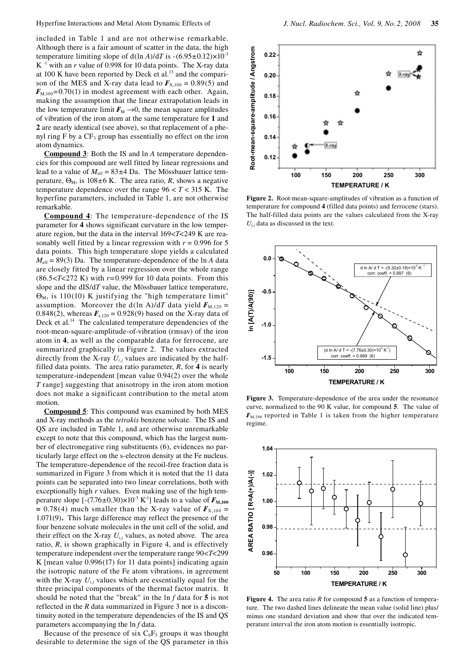included in Table 1 and are not otherwise remarkable. Although there is a fair amount of scatter in the data, the high temperature limiting slope of  $d(\ln A)/dT$  is  $-(6.95\pm0.12)\times10^{-3}$  $K^{-1}$  with an *r* value of 0.998 for 10 data points. The X-ray data at 100 K have been reported by Deck et al*.* 13 and the comparison of the MES and X-ray data lead to  $\mathbf{F}_{X,100} = 0.89(5)$  and  $F_{M,100}$ =0.70(1) in modest agreement with each other. Again, making the assumption that the linear extrapolation leads in the low temperature limit  $F_M \rightarrow 0$ , the mean square amplitudes of vibration of the iron atom at the same temperature for **1** and **2** are nearly identical (see above), so that replacement of a phenyl ring  $F$  by a  $CF_3$  group has essentially no effect on the iron atom dynamics.

**Compound 3**: Both the IS and ln *A* temperature dependencies for this compound are well fitted by linear regressions and lead to a value of  $M_{\text{eff}} = 83 \pm 4$  Da. The Mössbauer lattice temperature,  $\Theta_{\text{M}}$ , is 108±6 K. The area ratio, *R*, shows a negative temperature dependence over the range  $96 < T < 315$  K. The hyperfine parameters, included in Table 1, are not otherwise remarkable.

**Compound 4**: The temperature-dependence of the IS parameter for **4** shows significant curvature in the low temperature region, but the data in the interval 169<*T*<249 K are reasonably well fitted by a linear regression with  $r = 0.996$  for 5 data points. This high temperature slope yields a calculated  $M_{\text{eff}}$  = 89(3) Da. The temperature-dependence of the ln *A* data are closely fitted by a linear regression over the whole range (86.5<*T*<272 K) with *r*=0.999 for 10 data points. From this slope and the dIS/d*T* value, the Mössbauer lattice temperature,  $\Theta_M$ , is 110(10) K justifying the "high temperature limit" assumption. Moreover the d(ln A)/dT data yield  $\mathbf{F}_{M,120}$  = 0.848(2), whereas  $F_{x,120} = 0.928(9)$  based on the X-ray data of Deck et al.<sup>14</sup> The calculated temperature dependencies of the root-mean-square-amplitude-of-vibration (rmsav) of the iron atom in **4**, as well as the comparable data for ferrocene, are summarized graphically in Figure 2. The values extracted directly from the X-ray  $U_{i,j}$  values are indicated by the halffilled data points. The area ratio parameter, *R*, for **4** is nearly temperature-independent [mean value 0.94(2) over the whole *T* range] suggesting that anisotropy in the iron atom motion does not make a significant contribution to the metal atom motion.

**Compound 5**: This compound was examined by both MES and X-ray methods as the *tetrakis* benzene solvate. The IS and QS are included in Table 1, and are otherwise unremarkable except to note that this compound, which has the largest number of electronegative ring substituents (6), evidences no particularly large effect on the s-electron density at the Fe nucleus. The temperature-dependence of the recoil-free fraction data is summarized in Figure 3 from which it is noted that the 11 data points can be separated into two linear correlations, both with exceptionally high *r* values. Even making use of the high temperature slope  $[-(7.76 \pm 0.30) \times 10^{-3} \text{ K}^{-1}]$  leads to a value of  $F_{\text{M},100}$  $= 0.78(4)$  much smaller than the X-ray value of  $\mathbf{F}_{X,100} =$ 1.071(9)**.** This large difference may reflect the presence of the four benzene solvate molecules in the unit cell of the solid, and their effect on the X-ray  $U_{i,j}$  values, as noted above. The area ratio, *R*, is shown graphically in Figure 4, and is effectively temperature independent over the temperature range 90<*T*<299 K [mean value 0.996(17) for 11 data points] indicating again the isotropic nature of the Fe atom vibrations, in agreement with the X-ray  $U_{i,j}$  values which are essentially equal for the three principal components of the thermal factor matrix. It should be noted that the "break" in the ln *f* data for **5** is not reflected in the *R* data summarized in Figure 3 nor is a discontinuity noted in the temperature dependencies of the IS and QS parameters accompanying the ln *f* data.

Because of the presence of six  $C_6F_5$  groups it was thought desirable to determine the sign of the QS parameter in this



**Figure 2.** Root-mean-square-amplitudes of vibration as a function of temperature for compound **4** (filled data points) and ferrocene (stars). The half-filled data points are the values calculated from the X-ray  $U_i$  data as discussed in the text.



**Figure 3.** Temperature-dependence of the area under the resonance curve, normalized to the 90 K value, for compound **5**. The value of  $F_{\text{M,298}}$  reported in Table 1 is taken from the higher temperature regime.



**Figure 4.** The area ratio *R* for compound **5** as a function of temperature. The two dashed lines delineate the mean value (solid line) plus/ minus one standard deviation and show that over the indicated temperature interval the iron atom motion is essentially isotropic.